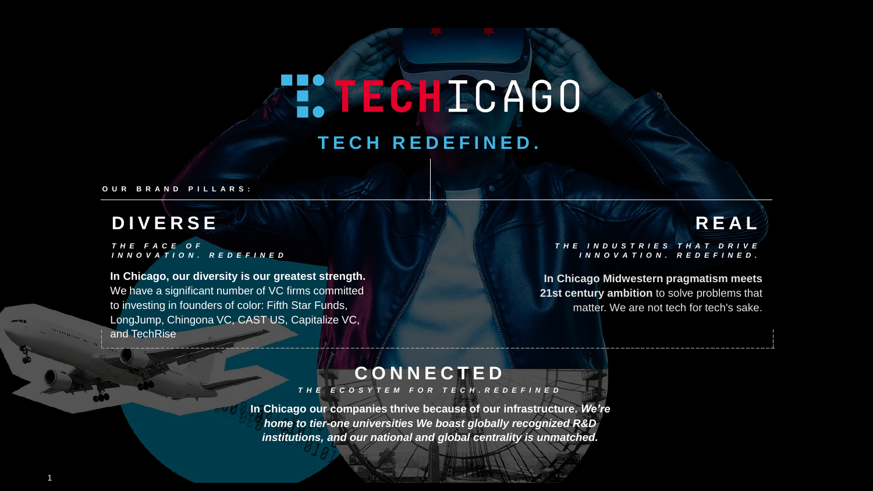## **NECHICAGO T E C H R E D E F I N E D .**

**O U R B R A N D P I L L A R S :**

### **D I V E R S E**

1

*T H E F A C E O F I N N O V A T I O N . R E D E F I N E D*

**In Chicago, our diversity is our greatest strength.**  We have a significant number of VC firms committed to investing in founders of color: Fifth Star Funds, LongJump, Chingona VC, CAST US, Capitalize VC, and TechRise

### **R E A L**

#### *T H E I N D U S T R I E S T H A T D R I V E I N N O V A T I O N . R E D E F I N E D .*

**In Chicago Midwestern pragmatism meets 21st century ambition** to solve problems that matter. We are not tech for tech's sake.

#### **C O N N E C T E D**

*T H E E C O S Y T E M F O R T E C H . R E D E F I N E D*

**In Chicago our companies thrive because of our infrastructure.** *We're home to tier-one universities We boast globally recognized R&D institutions, and our national and global centrality is unmatched.*